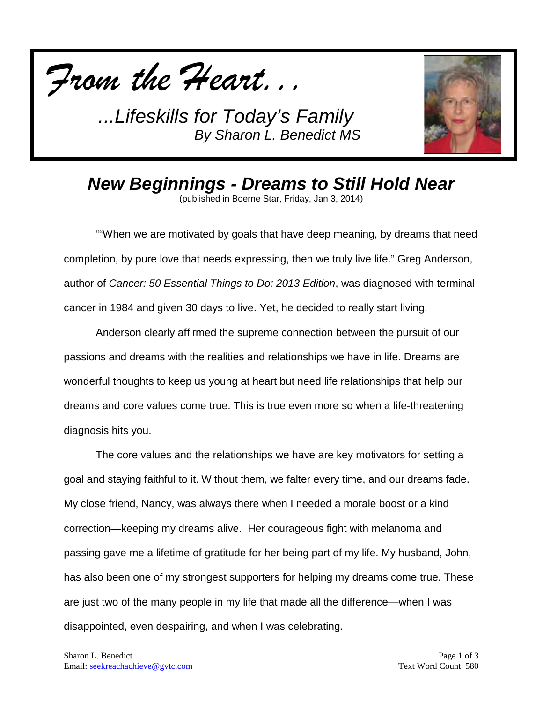



*New Beginnings - Dreams to Still Hold Near*

(published in Boerne Star, Friday, Jan 3, 2014)

""When we are motivated by goals that have deep meaning, by dreams that need completion, by pure love that needs expressing, then we truly live life." Greg Anderson, author of *Cancer: 50 Essential Things to Do: 2013 Edition*, was diagnosed with terminal cancer in 1984 and given 30 days to live. Yet, he decided to really start living.

Anderson clearly affirmed the supreme connection between the pursuit of our passions and dreams with the realities and relationships we have in life. Dreams are wonderful thoughts to keep us young at heart but need life relationships that help our dreams and core values come true. This is true even more so when a life-threatening diagnosis hits you.

The core values and the relationships we have are key motivators for setting a goal and staying faithful to it. Without them, we falter every time, and our dreams fade. My close friend, Nancy, was always there when I needed a morale boost or a kind correction—keeping my dreams alive. Her courageous fight with melanoma and passing gave me a lifetime of gratitude for her being part of my life. My husband, John, has also been one of my strongest supporters for helping my dreams come true. These are just two of the many people in my life that made all the difference—when I was disappointed, even despairing, and when I was celebrating.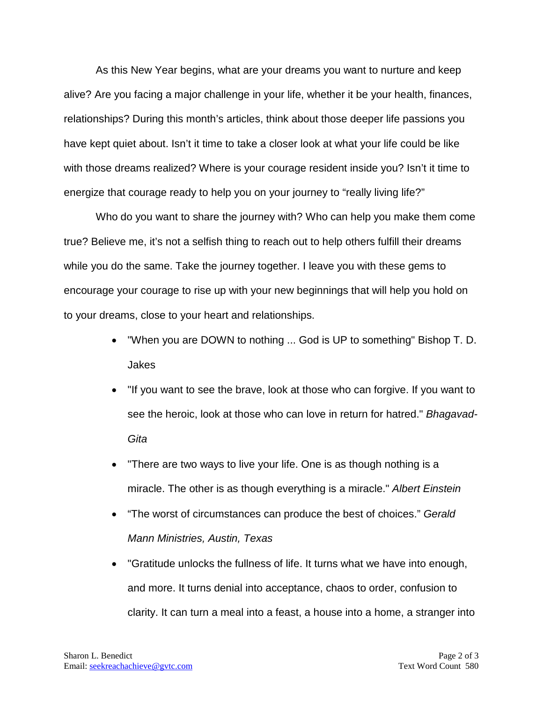As this New Year begins, what are your dreams you want to nurture and keep alive? Are you facing a major challenge in your life, whether it be your health, finances, relationships? During this month's articles, think about those deeper life passions you have kept quiet about. Isn't it time to take a closer look at what your life could be like with those dreams realized? Where is your courage resident inside you? Isn't it time to energize that courage ready to help you on your journey to "really living life?"

Who do you want to share the journey with? Who can help you make them come true? Believe me, it's not a selfish thing to reach out to help others fulfill their dreams while you do the same. Take the journey together. I leave you with these gems to encourage your courage to rise up with your new beginnings that will help you hold on to your dreams, close to your heart and relationships.

- "When you are DOWN to nothing ... God is UP to something" Bishop T. D. Jakes
- "If you want to see the brave, look at those who can forgive. If you want to see the heroic, look at those who can love in return for hatred." *Bhagavad-Gita*
- There are two ways to live your life. One is as though nothing is a miracle. The other is as though everything is a miracle." *Albert Einstein*
- "The worst of circumstances can produce the best of choices." *Gerald Mann Ministries, Austin, Texas*
- "Gratitude unlocks the fullness of life. It turns what we have into enough, and more. It turns denial into acceptance, chaos to order, confusion to clarity. It can turn a meal into a feast, a house into a home, a stranger into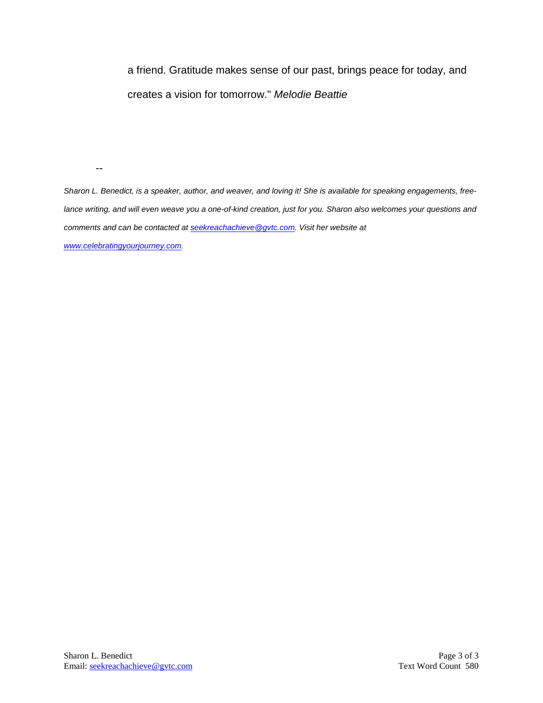a friend. Gratitude makes sense of our past, brings peace for today, and creates a vision for tomorrow." *Melodie Beattie* 

--

*Sharon L. Benedict, is a speaker, author, and weaver, and loving it! She is available for speaking engagements, freelance writing, and will even weave you a one-of-kind creation, just for you. Sharon also welcomes your questions and comments and can be contacted a[t seekreachachieve@gvtc.com.](mailto:seekreachachieve@gvtc.com) Visit her website at [www.celebratingyourjourney.com.](http://www.celebratingyourjourney.com/)*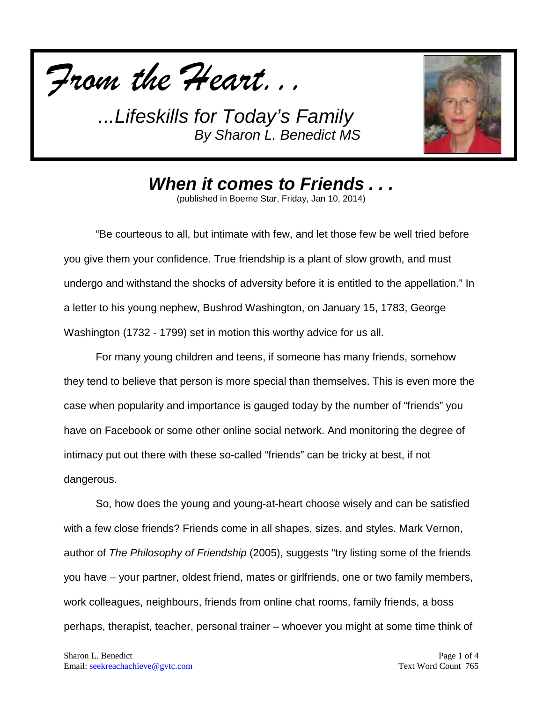



*When it comes to Friends . . .*

(published in Boerne Star, Friday, Jan 10, 2014)

"Be courteous to all, but intimate with few, and let those few be well tried before you give them your confidence. True friendship is a plant of slow growth, and must undergo and withstand the shocks of adversity before it is entitled to the appellation." In a letter to his young nephew, Bushrod Washington, on January 15, 1783, George Washington (1732 - 1799) set in motion this worthy advice for us all.

For many young children and teens, if someone has many friends, somehow they tend to believe that person is more special than themselves. This is even more the case when popularity and importance is gauged today by the number of "friends" you have on Facebook or some other online social network. And monitoring the degree of intimacy put out there with these so-called "friends" can be tricky at best, if not dangerous.

So, how does the young and young-at-heart choose wisely and can be satisfied with a few close friends? Friends come in all shapes, sizes, and styles. Mark Vernon, author of *The Philosophy of Friendship* (2005), suggests "try listing some of the friends you have – your partner, oldest friend, mates or girlfriends, one or two family members, work colleagues, neighbours, friends from online chat rooms, family friends, a boss perhaps, therapist, teacher, personal trainer – whoever you might at some time think of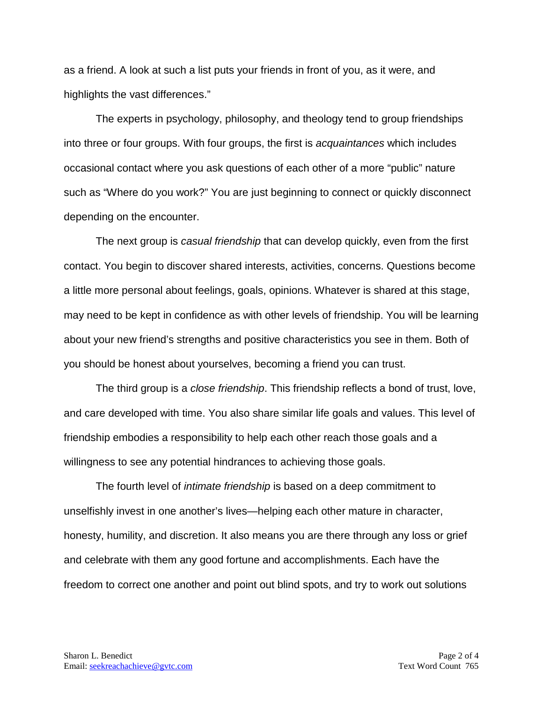as a friend. A look at such a list puts your friends in front of you, as it were, and highlights the vast differences."

The experts in psychology, philosophy, and theology tend to group friendships into three or four groups. With four groups, the first is *acquaintances* which includes occasional contact where you ask questions of each other of a more "public" nature such as "Where do you work?" You are just beginning to connect or quickly disconnect depending on the encounter.

The next group is *casual friendship* that can develop quickly, even from the first contact. You begin to discover shared interests, activities, concerns. Questions become a little more personal about feelings, goals, opinions. Whatever is shared at this stage, may need to be kept in confidence as with other levels of friendship. You will be learning about your new friend's strengths and positive characteristics you see in them. Both of you should be honest about yourselves, becoming a friend you can trust.

The third group is a *close friendship*. This friendship reflects a bond of trust, love, and care developed with time. You also share similar life goals and values. This level of friendship embodies a responsibility to help each other reach those goals and a willingness to see any potential hindrances to achieving those goals.

The fourth level of *intimate friendship* is based on a deep commitment to unselfishly invest in one another's lives—helping each other mature in character, honesty, humility, and discretion. It also means you are there through any loss or grief and celebrate with them any good fortune and accomplishments. Each have the freedom to correct one another and point out blind spots, and try to work out solutions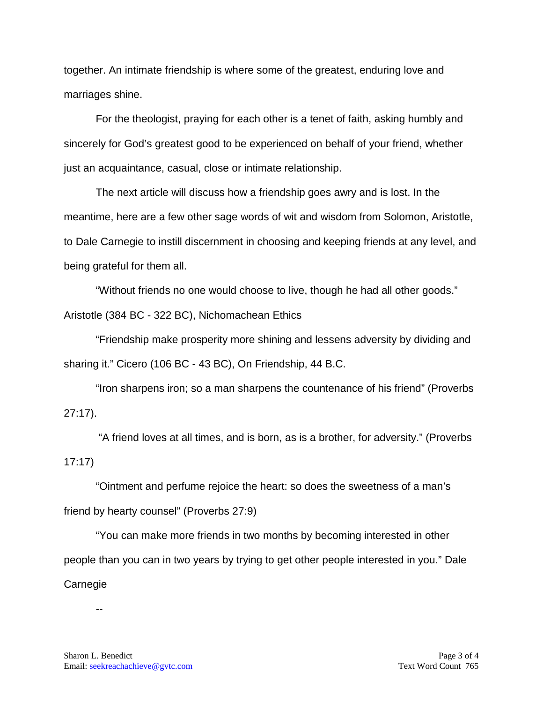together. An intimate friendship is where some of the greatest, enduring love and marriages shine.

For the theologist, praying for each other is a tenet of faith, asking humbly and sincerely for God's greatest good to be experienced on behalf of your friend, whether just an acquaintance, casual, close or intimate relationship.

The next article will discuss how a friendship goes awry and is lost. In the meantime, here are a few other sage words of wit and wisdom from Solomon, Aristotle, to Dale Carnegie to instill discernment in choosing and keeping friends at any level, and being grateful for them all.

"Without friends no one would choose to live, though he had all other goods." Aristotle (384 BC - 322 BC), Nichomachean Ethics

"Friendship make prosperity more shining and lessens adversity by dividing and sharing it." Cicero (106 BC - 43 BC), On Friendship, 44 B.C.

"Iron sharpens iron; so a man sharpens the countenance of his friend" (Proverbs 27:17).

"A friend loves at all times, and is born, as is a brother, for adversity." (Proverbs 17:17)

"Ointment and perfume rejoice the heart: so does the sweetness of a man's friend by hearty counsel" (Proverbs 27:9)

"You can make more friends in two months by becoming interested in other people than you can in two years by trying to get other people interested in you." Dale Carnegie

--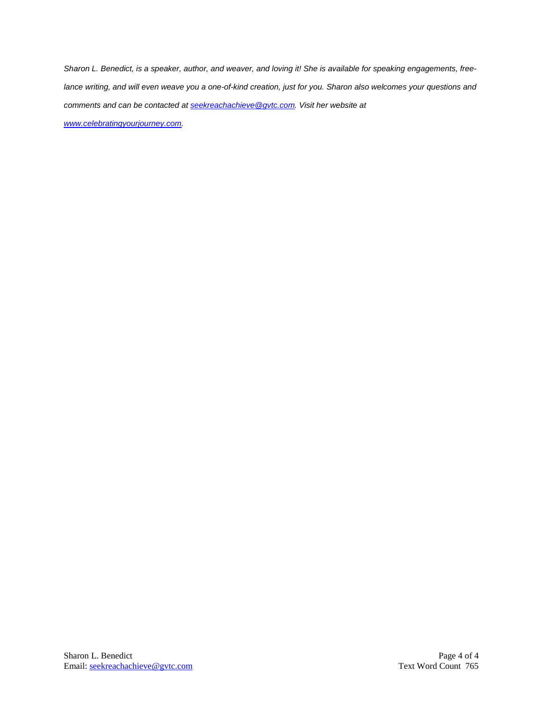*Sharon L. Benedict, is a speaker, author, and weaver, and loving it! She is available for speaking engagements, freelance writing, and will even weave you a one-of-kind creation, just for you. Sharon also welcomes your questions and comments and can be contacted a[t seekreachachieve@gvtc.com.](mailto:seekreachachieve@gvtc.com) Visit her website at [www.celebratingyourjourney.com.](http://www.celebratingyourjourney.com/)*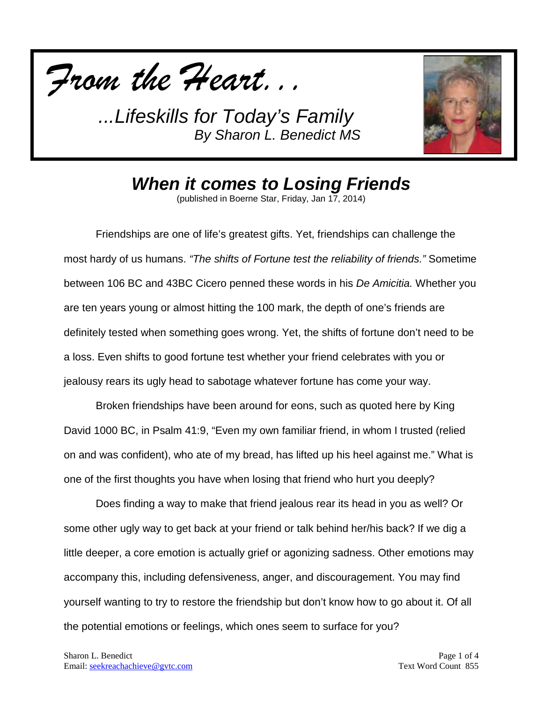



*When it comes to Losing Friends*

(published in Boerne Star, Friday, Jan 17, 2014)

Friendships are one of life's greatest gifts. Yet, friendships can challenge the most hardy of us humans. *"The shifts of Fortune test the reliability of friends."* Sometime between 106 BC and 43BC Cicero penned these words in his *De Amicitia.* Whether you are ten years young or almost hitting the 100 mark, the depth of one's friends are definitely tested when something goes wrong. Yet, the shifts of fortune don't need to be a loss. Even shifts to good fortune test whether your friend celebrates with you or jealousy rears its ugly head to sabotage whatever fortune has come your way.

Broken friendships have been around for eons, such as quoted here by King David 1000 BC, in Psalm 41:9, "Even my own familiar friend, in whom I trusted (relied on and was confident), who ate of my bread, has lifted up his heel against me." What is one of the first thoughts you have when losing that friend who hurt you deeply?

Does finding a way to make that friend jealous rear its head in you as well? Or some other ugly way to get back at your friend or talk behind her/his back? If we dig a little deeper, a core emotion is actually grief or agonizing sadness. Other emotions may accompany this, including defensiveness, anger, and discouragement. You may find yourself wanting to try to restore the friendship but don't know how to go about it. Of all the potential emotions or feelings, which ones seem to surface for you?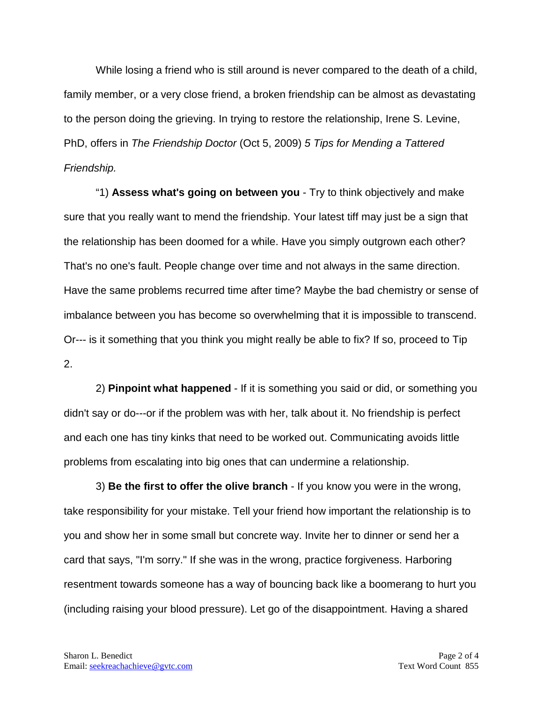While losing a friend who is still around is never compared to the death of a child, family member, or a very close friend, a broken friendship can be almost as devastating to the person doing the grieving. In trying to restore the relationship, Irene S. Levine, PhD, offers in *The Friendship Doctor* (Oct 5, 2009) *5 Tips for Mending a Tattered Friendship.*

"1) **Assess what's going on between you** - Try to think objectively and make sure that you really want to mend the friendship. Your latest tiff may just be a sign that the relationship has been doomed for a while. Have you simply outgrown each other? That's no one's fault. People change over time and not always in the same direction. Have the same problems recurred time after time? Maybe the bad chemistry or sense of imbalance between you has become so overwhelming that it is impossible to transcend. Or--- is it something that you think you might really be able to fix? If so, proceed to Tip 2.

2) **Pinpoint what happened** - If it is something you said or did, or something you didn't say or do---or if the problem was with her, talk about it. No friendship is perfect and each one has tiny kinks that need to be worked out. Communicating avoids little problems from escalating into big ones that can undermine a relationship.

3) **Be the first to offer the olive branch** - If you know you were in the wrong, take responsibility for your mistake. Tell your friend how important the relationship is to you and show her in some small but concrete way. Invite her to dinner or send her a card that says, "I'm sorry." If she was in the wrong, practice forgiveness. Harboring resentment towards someone has a way of bouncing back like a boomerang to hurt you (including raising your blood pressure). Let go of the disappointment. Having a shared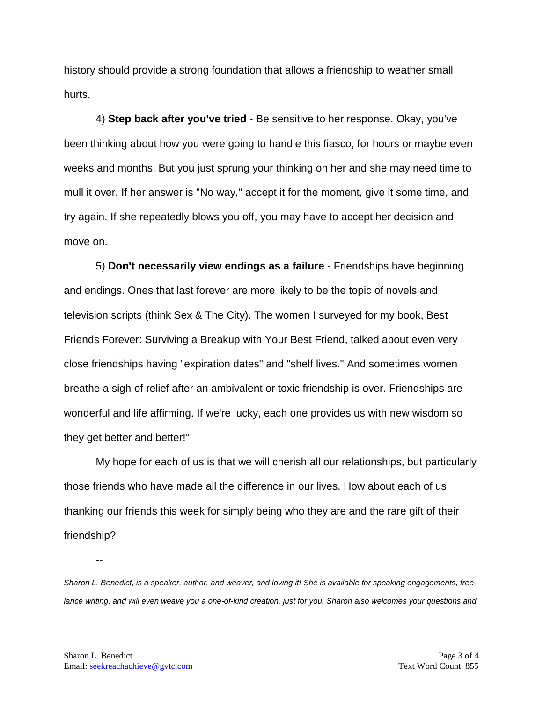history should provide a strong foundation that allows a friendship to weather small hurts.

4) **Step back after you've tried** - Be sensitive to her response. Okay, you've been thinking about how you were going to handle this fiasco, for hours or maybe even weeks and months. But you just sprung your thinking on her and she may need time to mull it over. If her answer is "No way," accept it for the moment, give it some time, and try again. If she repeatedly blows you off, you may have to accept her decision and move on.

5) **Don't necessarily view endings as a failure** - Friendships have beginning and endings. Ones that last forever are more likely to be the topic of novels and television scripts (think Sex & The City). The women I surveyed for my book, Best Friends Forever: Surviving a Breakup with Your Best Friend, talked about even very close friendships having "expiration dates" and "shelf lives." And sometimes women breathe a sigh of relief after an ambivalent or toxic friendship is over. Friendships are wonderful and life affirming. If we're lucky, each one provides us with new wisdom so they get better and better!"

My hope for each of us is that we will cherish all our relationships, but particularly those friends who have made all the difference in our lives. How about each of us thanking our friends this week for simply being who they are and the rare gift of their friendship?

*Sharon L. Benedict, is a speaker, author, and weaver, and loving it! She is available for speaking engagements, freelance writing, and will even weave you a one-of-kind creation, just for you. Sharon also welcomes your questions and* 

--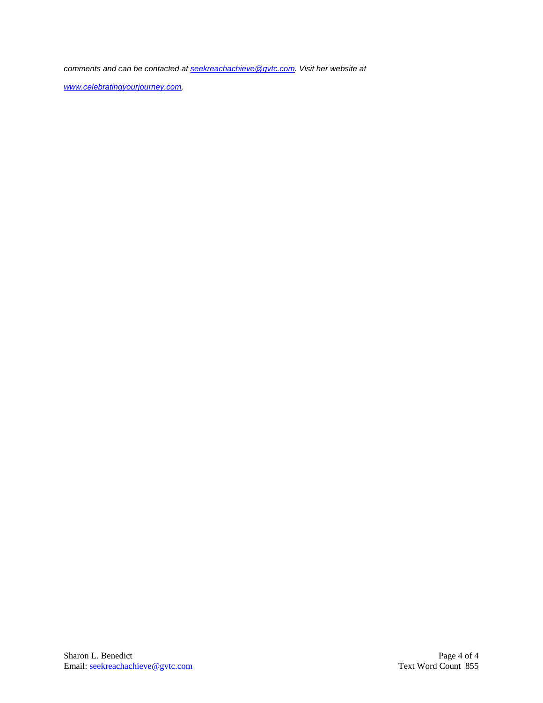*comments and can be contacted a[t seekreachachieve@gvtc.com.](mailto:seekreachachieve@gvtc.com) Visit her website at* 

*[www.celebratingyourjourney.com.](http://www.celebratingyourjourney.com/)*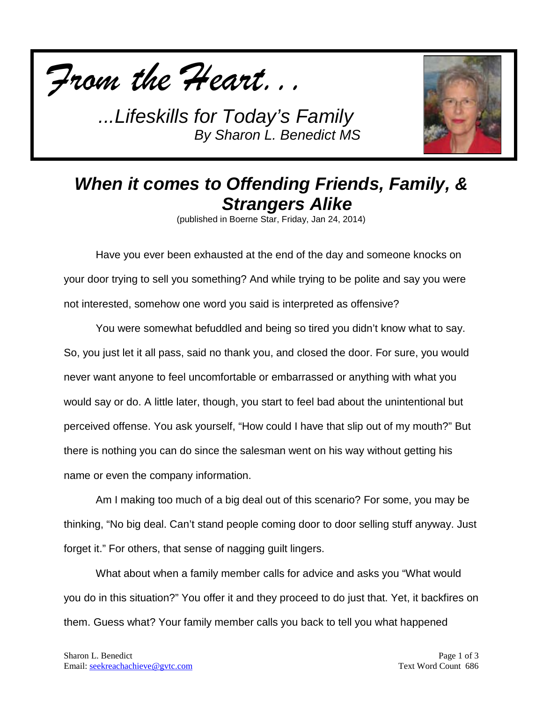



## *When it comes to Offending Friends, Family, & Strangers Alike*

(published in Boerne Star, Friday, Jan 24, 2014)

Have you ever been exhausted at the end of the day and someone knocks on your door trying to sell you something? And while trying to be polite and say you were not interested, somehow one word you said is interpreted as offensive?

You were somewhat befuddled and being so tired you didn't know what to say. So, you just let it all pass, said no thank you, and closed the door. For sure, you would never want anyone to feel uncomfortable or embarrassed or anything with what you would say or do. A little later, though, you start to feel bad about the unintentional but perceived offense. You ask yourself, "How could I have that slip out of my mouth?" But there is nothing you can do since the salesman went on his way without getting his name or even the company information.

Am I making too much of a big deal out of this scenario? For some, you may be thinking, "No big deal. Can't stand people coming door to door selling stuff anyway. Just forget it." For others, that sense of nagging guilt lingers.

What about when a family member calls for advice and asks you "What would you do in this situation?" You offer it and they proceed to do just that. Yet, it backfires on them. Guess what? Your family member calls you back to tell you what happened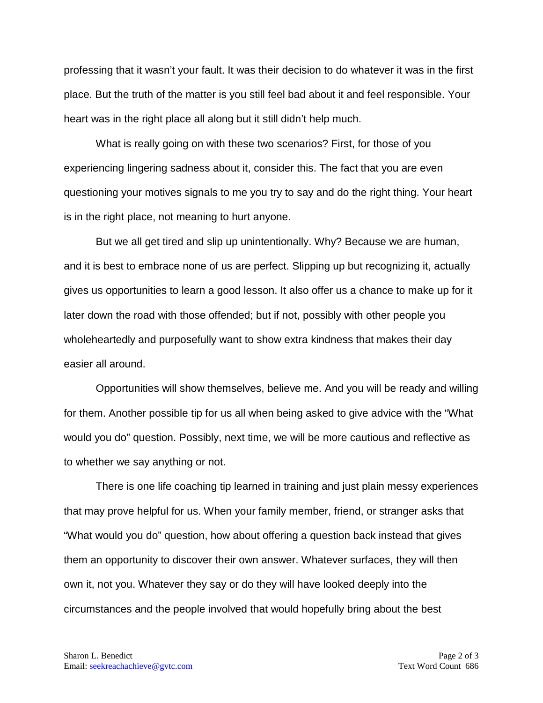professing that it wasn't your fault. It was their decision to do whatever it was in the first place. But the truth of the matter is you still feel bad about it and feel responsible. Your heart was in the right place all along but it still didn't help much.

What is really going on with these two scenarios? First, for those of you experiencing lingering sadness about it, consider this. The fact that you are even questioning your motives signals to me you try to say and do the right thing. Your heart is in the right place, not meaning to hurt anyone.

But we all get tired and slip up unintentionally. Why? Because we are human, and it is best to embrace none of us are perfect. Slipping up but recognizing it, actually gives us opportunities to learn a good lesson. It also offer us a chance to make up for it later down the road with those offended; but if not, possibly with other people you wholeheartedly and purposefully want to show extra kindness that makes their day easier all around.

Opportunities will show themselves, believe me. And you will be ready and willing for them. Another possible tip for us all when being asked to give advice with the "What would you do" question. Possibly, next time, we will be more cautious and reflective as to whether we say anything or not.

There is one life coaching tip learned in training and just plain messy experiences that may prove helpful for us. When your family member, friend, or stranger asks that "What would you do" question, how about offering a question back instead that gives them an opportunity to discover their own answer. Whatever surfaces, they will then own it, not you. Whatever they say or do they will have looked deeply into the circumstances and the people involved that would hopefully bring about the best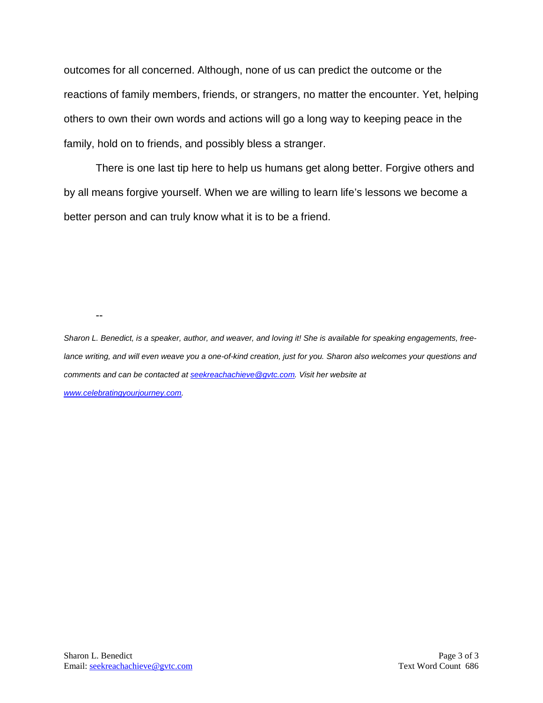outcomes for all concerned. Although, none of us can predict the outcome or the reactions of family members, friends, or strangers, no matter the encounter. Yet, helping others to own their own words and actions will go a long way to keeping peace in the family, hold on to friends, and possibly bless a stranger.

There is one last tip here to help us humans get along better. Forgive others and by all means forgive yourself. When we are willing to learn life's lessons we become a better person and can truly know what it is to be a friend.

--

*Sharon L. Benedict, is a speaker, author, and weaver, and loving it! She is available for speaking engagements, free*lance writing, and will even weave you a one-of-kind creation, just for you. Sharon also welcomes your questions and *comments and can be contacted a[t seekreachachieve@gvtc.com.](mailto:seekreachachieve@gvtc.com) Visit her website at [www.celebratingyourjourney.com.](http://www.celebratingyourjourney.com/)*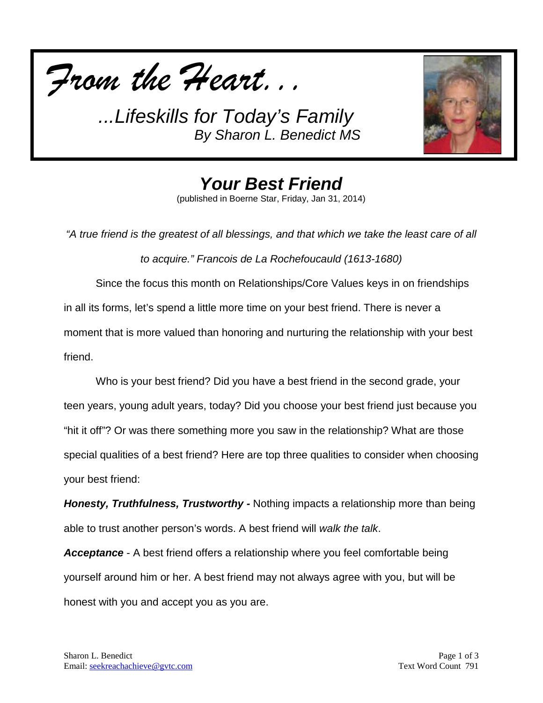



*Your Best Friend* (published in Boerne Star, Friday, Jan 31, 2014)

*"A true friend is the greatest of all blessings, and that which we take the least care of all to acquire." Francois de La Rochefoucauld (1613-1680)* Since the focus this month on Relationships/Core Values keys in on friendships

in all its forms, let's spend a little more time on your best friend. There is never a moment that is more valued than honoring and nurturing the relationship with your best friend.

Who is your best friend? Did you have a best friend in the second grade, your teen years, young adult years, today? Did you choose your best friend just because you "hit it off"? Or was there something more you saw in the relationship? What are those special qualities of a best friend? Here are top three qualities to consider when choosing your best friend:

*Honesty, Truthfulness, Trustworthy -* Nothing impacts a relationship more than being able to trust another person's words. A best friend will *walk the talk*.

*Acceptance* - A best friend offers a relationship where you feel comfortable being yourself around him or her. A best friend may not always agree with you, but will be honest with you and accept you as you are.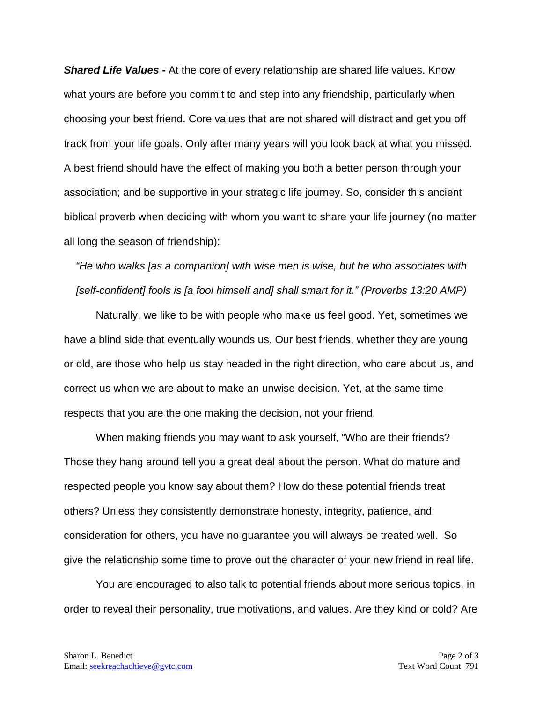*Shared Life Values -* At the core of every relationship are shared life values. Know what yours are before you commit to and step into any friendship, particularly when choosing your best friend. Core values that are not shared will distract and get you off track from your life goals. Only after many years will you look back at what you missed. A best friend should have the effect of making you both a better person through your association; and be supportive in your strategic life journey. So, consider this ancient biblical proverb when deciding with whom you want to share your life journey (no matter all long the season of friendship):

*"He who walks [as a companion] with wise men is wise, but he who associates with [self-confident] fools is [a fool himself and] shall smart for it." (Proverbs 13:20 AMP)*

Naturally, we like to be with people who make us feel good. Yet, sometimes we have a blind side that eventually wounds us. Our best friends, whether they are young or old, are those who help us stay headed in the right direction, who care about us, and correct us when we are about to make an unwise decision. Yet, at the same time respects that you are the one making the decision, not your friend.

When making friends you may want to ask yourself, "Who are their friends? Those they hang around tell you a great deal about the person. What do mature and respected people you know say about them? How do these potential friends treat others? Unless they consistently demonstrate honesty, integrity, patience, and consideration for others, you have no guarantee you will always be treated well. So give the relationship some time to prove out the character of your new friend in real life.

You are encouraged to also talk to potential friends about more serious topics, in order to reveal their personality, true motivations, and values. Are they kind or cold? Are